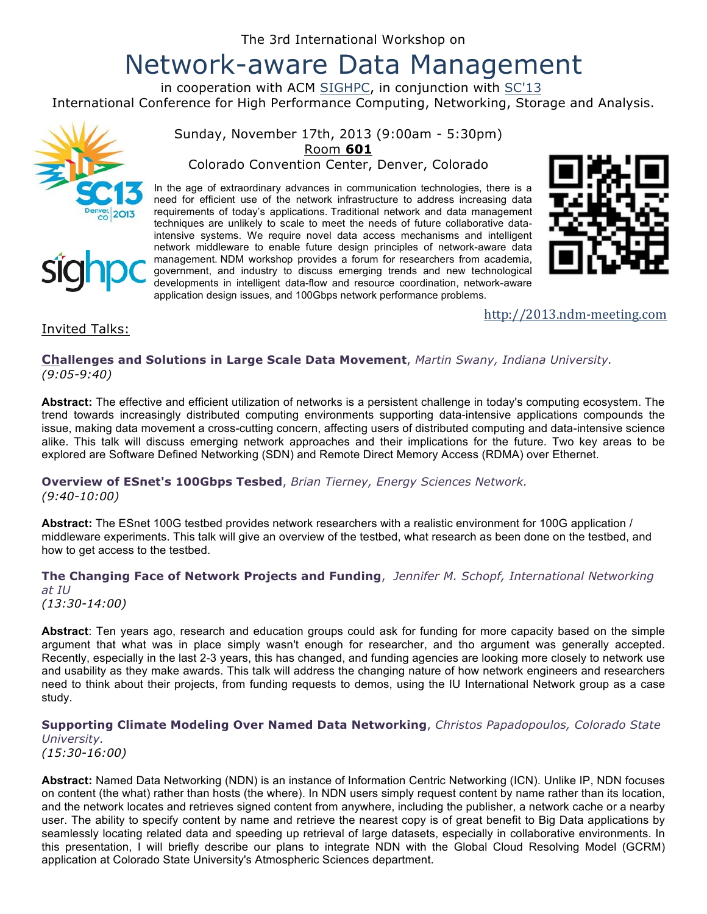# Network-aware Data Management

in cooperation with ACM SIGHPC, in conjunction with SC'13 International Conference for High Performance Computing, Networking, Storage and Analysis.





Sunday, November 17th, 2013 (9:00am - 5:30pm) Room **601**

Colorado Convention Center, Denver, Colorado

In the age of extraordinary advances in communication technologies, there is a need for efficient use of the network infrastructure to address increasing data requirements of today's applications. Traditional network and data management techniques are unlikely to scale to meet the needs of future collaborative dataintensive systems. We require novel data access mechanisms and intelligent network middleware to enable future design principles of network-aware data management. NDM workshop provides a forum for researchers from academia, government, and industry to discuss emerging trends and new technological developments in intelligent data-flow and resource coordination, network-aware application design issues, and 100Gbps network performance problems.



### http://2013.ndm-meeting.com

## Invited Talks:

**Challenges and Solutions in Large Scale Data Movement**, *Martin Swany, Indiana University. (9:05-9:40)*

**Abstract:** The effective and efficient utilization of networks is a persistent challenge in today's computing ecosystem. The trend towards increasingly distributed computing environments supporting data-intensive applications compounds the issue, making data movement a cross-cutting concern, affecting users of distributed computing and data-intensive science alike. This talk will discuss emerging network approaches and their implications for the future. Two key areas to be explored are Software Defined Networking (SDN) and Remote Direct Memory Access (RDMA) over Ethernet.

**Overview of ESnet's 100Gbps Tesbed**, *Brian Tierney, Energy Sciences Network. (9:40-10:00)*

**Abstract:** The ESnet 100G testbed provides network researchers with a realistic environment for 100G application / middleware experiments. This talk will give an overview of the testbed, what research as been done on the testbed, and how to get access to the testbed.

**The Changing Face of Network Projects and Funding**, *Jennifer M. Schopf, International Networking at IU (13:30-14:00)*

**Abstract**: Ten years ago, research and education groups could ask for funding for more capacity based on the simple argument that what was in place simply wasn't enough for researcher, and tho argument was generally accepted. Recently, especially in the last 2-3 years, this has changed, and funding agencies are looking more closely to network use and usability as they make awards. This talk will address the changing nature of how network engineers and researchers need to think about their projects, from funding requests to demos, using the IU International Network group as a case study.

#### **Supporting Climate Modeling Over Named Data Networking**, *Christos Papadopoulos, Colorado State University.*

*(15:30-16:00)*

**Abstract:** Named Data Networking (NDN) is an instance of Information Centric Networking (ICN). Unlike IP, NDN focuses on content (the what) rather than hosts (the where). In NDN users simply request content by name rather than its location, and the network locates and retrieves signed content from anywhere, including the publisher, a network cache or a nearby user. The ability to specify content by name and retrieve the nearest copy is of great benefit to Big Data applications by seamlessly locating related data and speeding up retrieval of large datasets, especially in collaborative environments. In this presentation, I will briefly describe our plans to integrate NDN with the Global Cloud Resolving Model (GCRM) application at Colorado State University's Atmospheric Sciences department.